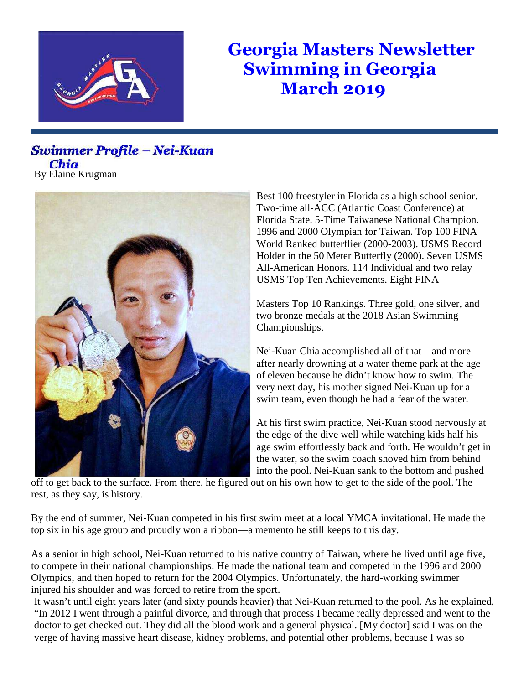

## **Georgia Masters Newsletter Swimming in Georgia March 2019**

## Swimmer Profile - Nei-Kuan Chia By Elaine Krugman



Best 100 freestyler in Florida as a high school senior. Two-time all-ACC (Atlantic Coast Conference) at Florida State. 5-Time Taiwanese National Champion. 1996 and 2000 Olympian for Taiwan. Top 100 FINA World Ranked butterflier (2000-2003). USMS Record Holder in the 50 Meter Butterfly (2000). Seven USMS All-American Honors. 114 Individual and two relay USMS Top Ten Achievements. Eight FINA

Masters Top 10 Rankings. Three gold, one silver, and two bronze medals at the 2018 Asian Swimming Championships.

Nei-Kuan Chia accomplished all of that—and more after nearly drowning at a water theme park at the age of eleven because he didn't know how to swim. The very next day, his mother signed Nei-Kuan up for a swim team, even though he had a fear of the water.

At his first swim practice, Nei-Kuan stood nervously at the edge of the dive well while watching kids half his age swim effortlessly back and forth. He wouldn't get in the water, so the swim coach shoved him from behind into the pool. Nei-Kuan sank to the bottom and pushed

off to get back to the surface. From there, he figured out on his own how to get to the side of the pool. The rest, as they say, is history.

By the end of summer, Nei-Kuan competed in his first swim meet at a local YMCA invitational. He made the top six in his age group and proudly won a ribbon—a memento he still keeps to this day.

As a senior in high school, Nei-Kuan returned to his native country of Taiwan, where he lived until age five, to compete in their national championships. He made the national team and competed in the 1996 and 2000 Olympics, and then hoped to return for the 2004 Olympics. Unfortunately, the hard-working swimmer injured his shoulder and was forced to retire from the sport.

It wasn't until eight years later (and sixty pounds heavier) that Nei-Kuan returned to the pool. As he explained, "In 2012 I went through a painful divorce, and through that process I became really depressed and went to the doctor to get checked out. They did all the blood work and a general physical. [My doctor] said I was on the verge of having massive heart disease, kidney problems, and potential other problems, because I was so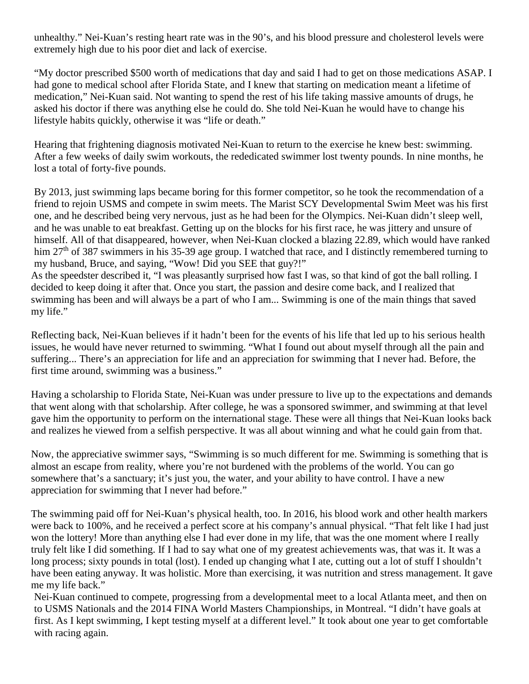unhealthy." Nei-Kuan's resting heart rate was in the 90's, and his blood pressure and cholesterol levels were extremely high due to his poor diet and lack of exercise.

"My doctor prescribed \$500 worth of medications that day and said I had to get on those medications ASAP. I had gone to medical school after Florida State, and I knew that starting on medication meant a lifetime of medication," Nei-Kuan said. Not wanting to spend the rest of his life taking massive amounts of drugs, he asked his doctor if there was anything else he could do. She told Nei-Kuan he would have to change his lifestyle habits quickly, otherwise it was "life or death."

Hearing that frightening diagnosis motivated Nei-Kuan to return to the exercise he knew best: swimming. After a few weeks of daily swim workouts, the rededicated swimmer lost twenty pounds. In nine months, he lost a total of forty-five pounds.

By 2013, just swimming laps became boring for this former competitor, so he took the recommendation of a friend to rejoin USMS and compete in swim meets. The Marist SCY Developmental Swim Meet was his first one, and he described being very nervous, just as he had been for the Olympics. Nei-Kuan didn't sleep well, and he was unable to eat breakfast. Getting up on the blocks for his first race, he was jittery and unsure of himself. All of that disappeared, however, when Nei-Kuan clocked a blazing 22.89, which would have ranked him  $27<sup>th</sup>$  of 387 swimmers in his 35-39 age group. I watched that race, and I distinctly remembered turning to my husband, Bruce, and saying, "Wow! Did you SEE that guy?!"

As the speedster described it, "I was pleasantly surprised how fast I was, so that kind of got the ball rolling. I decided to keep doing it after that. Once you start, the passion and desire come back, and I realized that swimming has been and will always be a part of who I am... Swimming is one of the main things that saved my life."

Reflecting back, Nei-Kuan believes if it hadn't been for the events of his life that led up to his serious health issues, he would have never returned to swimming. "What I found out about myself through all the pain and suffering... There's an appreciation for life and an appreciation for swimming that I never had. Before, the first time around, swimming was a business."

Having a scholarship to Florida State, Nei-Kuan was under pressure to live up to the expectations and demands that went along with that scholarship. After college, he was a sponsored swimmer, and swimming at that level gave him the opportunity to perform on the international stage. These were all things that Nei-Kuan looks back and realizes he viewed from a selfish perspective. It was all about winning and what he could gain from that.

Now, the appreciative swimmer says, "Swimming is so much different for me. Swimming is something that is almost an escape from reality, where you're not burdened with the problems of the world. You can go somewhere that's a sanctuary; it's just you, the water, and your ability to have control. I have a new appreciation for swimming that I never had before."

The swimming paid off for Nei-Kuan's physical health, too. In 2016, his blood work and other health markers were back to 100%, and he received a perfect score at his company's annual physical. "That felt like I had just won the lottery! More than anything else I had ever done in my life, that was the one moment where I really truly felt like I did something. If I had to say what one of my greatest achievements was, that was it. It was a long process; sixty pounds in total (lost). I ended up changing what I ate, cutting out a lot of stuff I shouldn't have been eating anyway. It was holistic. More than exercising, it was nutrition and stress management. It gave me my life back."

Nei-Kuan continued to compete, progressing from a developmental meet to a local Atlanta meet, and then on to USMS Nationals and the 2014 FINA World Masters Championships, in Montreal. "I didn't have goals at first. As I kept swimming, I kept testing myself at a different level." It took about one year to get comfortable with racing again.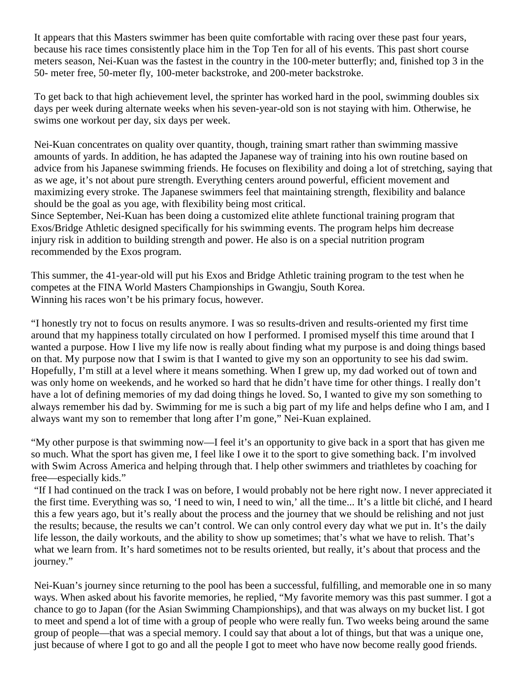It appears that this Masters swimmer has been quite comfortable with racing over these past four years, because his race times consistently place him in the Top Ten for all of his events. This past short course meters season, Nei-Kuan was the fastest in the country in the 100-meter butterfly; and, finished top 3 in the 50- meter free, 50-meter fly, 100-meter backstroke, and 200-meter backstroke.

To get back to that high achievement level, the sprinter has worked hard in the pool, swimming doubles six days per week during alternate weeks when his seven-year-old son is not staying with him. Otherwise, he swims one workout per day, six days per week.

Nei-Kuan concentrates on quality over quantity, though, training smart rather than swimming massive amounts of yards. In addition, he has adapted the Japanese way of training into his own routine based on advice from his Japanese swimming friends. He focuses on flexibility and doing a lot of stretching, saying that as we age, it's not about pure strength. Everything centers around powerful, efficient movement and maximizing every stroke. The Japanese swimmers feel that maintaining strength, flexibility and balance should be the goal as you age, with flexibility being most critical.

Since September, Nei-Kuan has been doing a customized elite athlete functional training program that Exos/Bridge Athletic designed specifically for his swimming events. The program helps him decrease injury risk in addition to building strength and power. He also is on a special nutrition program recommended by the Exos program.

This summer, the 41-year-old will put his Exos and Bridge Athletic training program to the test when he competes at the FINA World Masters Championships in Gwangju, South Korea. Winning his races won't be his primary focus, however.

"I honestly try not to focus on results anymore. I was so results-driven and results-oriented my first time around that my happiness totally circulated on how I performed. I promised myself this time around that I wanted a purpose. How I live my life now is really about finding what my purpose is and doing things based on that. My purpose now that I swim is that I wanted to give my son an opportunity to see his dad swim. Hopefully, I'm still at a level where it means something. When I grew up, my dad worked out of town and was only home on weekends, and he worked so hard that he didn't have time for other things. I really don't have a lot of defining memories of my dad doing things he loved. So, I wanted to give my son something to always remember his dad by. Swimming for me is such a big part of my life and helps define who I am, and I always want my son to remember that long after I'm gone," Nei-Kuan explained.

"My other purpose is that swimming now—I feel it's an opportunity to give back in a sport that has given me so much. What the sport has given me, I feel like I owe it to the sport to give something back. I'm involved with Swim Across America and helping through that. I help other swimmers and triathletes by coaching for free—especially kids."

"If I had continued on the track I was on before, I would probably not be here right now. I never appreciated it the first time. Everything was so, 'I need to win, I need to win,' all the time... It's a little bit cliché, and I heard this a few years ago, but it's really about the process and the journey that we should be relishing and not just the results; because, the results we can't control. We can only control every day what we put in. It's the daily life lesson, the daily workouts, and the ability to show up sometimes; that's what we have to relish. That's what we learn from. It's hard sometimes not to be results oriented, but really, it's about that process and the journey."

Nei-Kuan's journey since returning to the pool has been a successful, fulfilling, and memorable one in so many ways. When asked about his favorite memories, he replied, "My favorite memory was this past summer. I got a chance to go to Japan (for the Asian Swimming Championships), and that was always on my bucket list. I got to meet and spend a lot of time with a group of people who were really fun. Two weeks being around the same group of people—that was a special memory. I could say that about a lot of things, but that was a unique one, just because of where I got to go and all the people I got to meet who have now become really good friends.